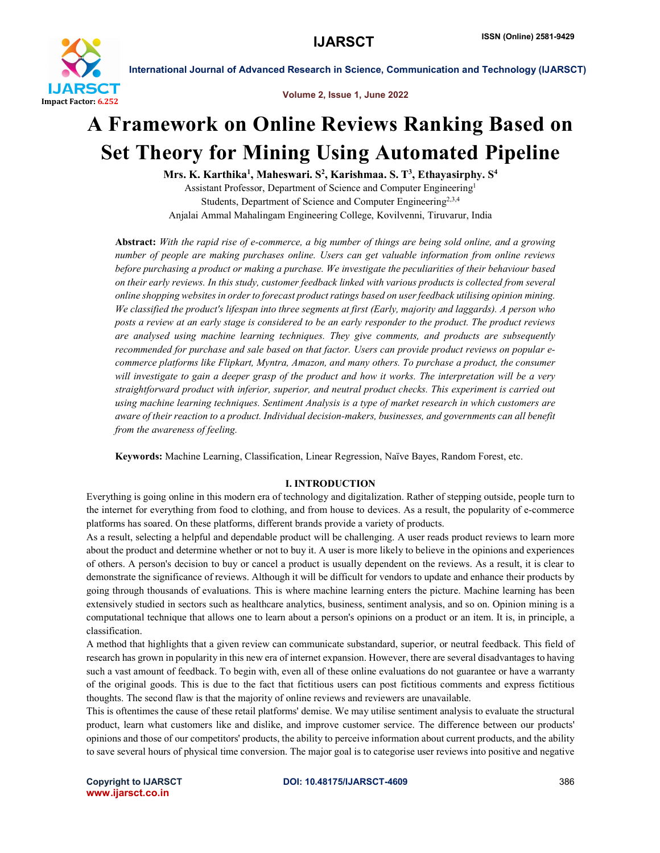

Volume 2, Issue 1, June 2022

## A Framework on Online Reviews Ranking Based on Set Theory for Mining Using Automated Pipeline

Mrs. K. Karthika<sup>1</sup>, Maheswari. S<sup>2</sup>, Karishmaa. S. T<sup>3</sup>, Ethayasirphy. S<sup>4</sup>

Assistant Professor, Department of Science and Computer Engineering1 Students, Department of Science and Computer Engineering<sup>2,3,4</sup>

Anjalai Ammal Mahalingam Engineering College, Kovilvenni, Tiruvarur, India

Abstract: *With the rapid rise of e-commerce, a big number of things are being sold online, and a growing number of people are making purchases online. Users can get valuable information from online reviews before purchasing a product or making a purchase. We investigate the peculiarities of their behaviour based on their early reviews. In this study, customer feedback linked with various products is collected from several online shopping websites in order to forecast product ratings based on user feedback utilising opinion mining. We classified the product's lifespan into three segments at first (Early, majority and laggards). A person who posts a review at an early stage is considered to be an early responder to the product. The product reviews are analysed using machine learning techniques. They give comments, and products are subsequently recommended for purchase and sale based on that factor. Users can provide product reviews on popular ecommerce platforms like Flipkart, Myntra, Amazon, and many others. To purchase a product, the consumer will investigate to gain a deeper grasp of the product and how it works. The interpretation will be a very straightforward product with inferior, superior, and neutral product checks. This experiment is carried out using machine learning techniques. Sentiment Analysis is a type of market research in which customers are aware of their reaction to a product. Individual decision-makers, businesses, and governments can all benefit from the awareness of feeling.*

Keywords: Machine Learning, Classification, Linear Regression, Naïve Bayes, Random Forest, etc.

#### I. INTRODUCTION

Everything is going online in this modern era of technology and digitalization. Rather of stepping outside, people turn to the internet for everything from food to clothing, and from house to devices. As a result, the popularity of e-commerce platforms has soared. On these platforms, different brands provide a variety of products.

As a result, selecting a helpful and dependable product will be challenging. A user reads product reviews to learn more about the product and determine whether or not to buy it. A user is more likely to believe in the opinions and experiences of others. A person's decision to buy or cancel a product is usually dependent on the reviews. As a result, it is clear to demonstrate the significance of reviews. Although it will be difficult for vendors to update and enhance their products by going through thousands of evaluations. This is where machine learning enters the picture. Machine learning has been extensively studied in sectors such as healthcare analytics, business, sentiment analysis, and so on. Opinion mining is a computational technique that allows one to learn about a person's opinions on a product or an item. It is, in principle, a classification.

A method that highlights that a given review can communicate substandard, superior, or neutral feedback. This field of research has grown in popularity in this new era of internet expansion. However, there are several disadvantages to having such a vast amount of feedback. To begin with, even all of these online evaluations do not guarantee or have a warranty of the original goods. This is due to the fact that fictitious users can post fictitious comments and express fictitious thoughts. The second flaw is that the majority of online reviews and reviewers are unavailable.

This is oftentimes the cause of these retail platforms' demise. We may utilise sentiment analysis to evaluate the structural product, learn what customers like and dislike, and improve customer service. The difference between our products' opinions and those of our competitors' products, the ability to perceive information about current products, and the ability to save several hours of physical time conversion. The major goal is to categorise user reviews into positive and negative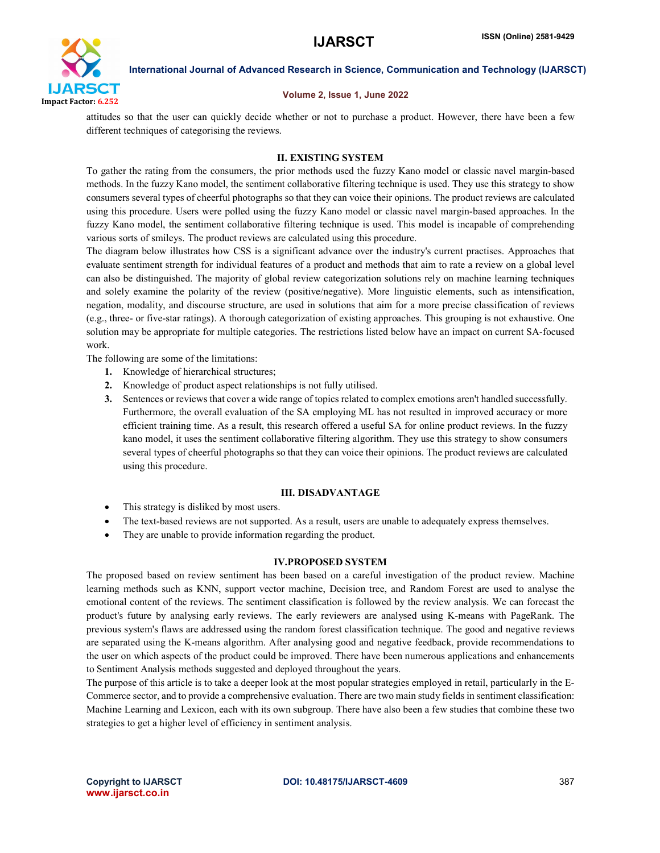

#### Volume 2, Issue 1, June 2022

attitudes so that the user can quickly decide whether or not to purchase a product. However, there have been a few different techniques of categorising the reviews.

### II. EXISTING SYSTEM

To gather the rating from the consumers, the prior methods used the fuzzy Kano model or classic navel margin-based methods. In the fuzzy Kano model, the sentiment collaborative filtering technique is used. They use this strategy to show consumers several types of cheerful photographs so that they can voice their opinions. The product reviews are calculated using this procedure. Users were polled using the fuzzy Kano model or classic navel margin-based approaches. In the fuzzy Kano model, the sentiment collaborative filtering technique is used. This model is incapable of comprehending various sorts of smileys. The product reviews are calculated using this procedure.

The diagram below illustrates how CSS is a significant advance over the industry's current practises. Approaches that evaluate sentiment strength for individual features of a product and methods that aim to rate a review on a global level can also be distinguished. The majority of global review categorization solutions rely on machine learning techniques and solely examine the polarity of the review (positive/negative). More linguistic elements, such as intensification, negation, modality, and discourse structure, are used in solutions that aim for a more precise classification of reviews (e.g., three- or five-star ratings). A thorough categorization of existing approaches. This grouping is not exhaustive. One solution may be appropriate for multiple categories. The restrictions listed below have an impact on current SA-focused work.

The following are some of the limitations:

- 1. Knowledge of hierarchical structures;
- 2. Knowledge of product aspect relationships is not fully utilised.
- 3. Sentences or reviews that cover a wide range of topics related to complex emotions aren't handled successfully. Furthermore, the overall evaluation of the SA employing ML has not resulted in improved accuracy or more efficient training time. As a result, this research offered a useful SA for online product reviews. In the fuzzy kano model, it uses the sentiment collaborative filtering algorithm. They use this strategy to show consumers several types of cheerful photographs so that they can voice their opinions. The product reviews are calculated using this procedure.

#### III. DISADVANTAGE

- This strategy is disliked by most users.
- The text-based reviews are not supported. As a result, users are unable to adequately express themselves.
- They are unable to provide information regarding the product.

#### IV.PROPOSED SYSTEM

The proposed based on review sentiment has been based on a careful investigation of the product review. Machine learning methods such as KNN, support vector machine, Decision tree, and Random Forest are used to analyse the emotional content of the reviews. The sentiment classification is followed by the review analysis. We can forecast the product's future by analysing early reviews. The early reviewers are analysed using K-means with PageRank. The previous system's flaws are addressed using the random forest classification technique. The good and negative reviews are separated using the K-means algorithm. After analysing good and negative feedback, provide recommendations to the user on which aspects of the product could be improved. There have been numerous applications and enhancements to Sentiment Analysis methods suggested and deployed throughout the years.

The purpose of this article is to take a deeper look at the most popular strategies employed in retail, particularly in the E-Commerce sector, and to provide a comprehensive evaluation. There are two main study fields in sentiment classification: Machine Learning and Lexicon, each with its own subgroup. There have also been a few studies that combine these two strategies to get a higher level of efficiency in sentiment analysis.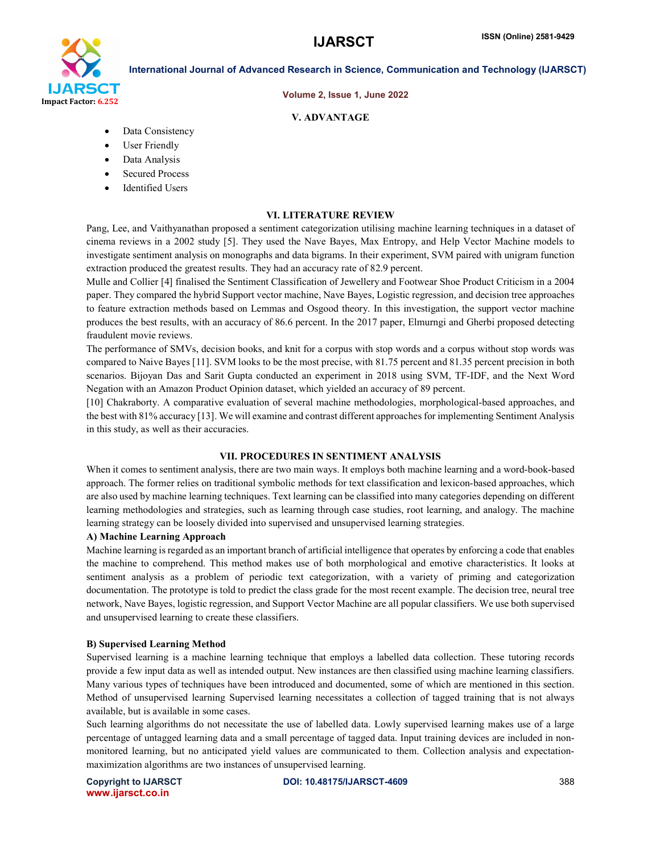# I JARSCT Impact Factor: 6.252

International Journal of Advanced Research in Science, Communication and Technology (IJARSCT)

#### Volume 2, Issue 1, June 2022

#### V. ADVANTAGE

- Data Consistency
- User Friendly
- Data Analysis
- Secured Process
- Identified Users

#### VI. LITERATURE REVIEW

Pang, Lee, and Vaithyanathan proposed a sentiment categorization utilising machine learning techniques in a dataset of cinema reviews in a 2002 study [5]. They used the Nave Bayes, Max Entropy, and Help Vector Machine models to investigate sentiment analysis on monographs and data bigrams. In their experiment, SVM paired with unigram function extraction produced the greatest results. They had an accuracy rate of 82.9 percent.

Mulle and Collier [4] finalised the Sentiment Classification of Jewellery and Footwear Shoe Product Criticism in a 2004 paper. They compared the hybrid Support vector machine, Nave Bayes, Logistic regression, and decision tree approaches to feature extraction methods based on Lemmas and Osgood theory. In this investigation, the support vector machine produces the best results, with an accuracy of 86.6 percent. In the 2017 paper, Elmurngi and Gherbi proposed detecting fraudulent movie reviews.

The performance of SMVs, decision books, and knit for a corpus with stop words and a corpus without stop words was compared to Naive Bayes [11]. SVM looks to be the most precise, with 81.75 percent and 81.35 percent precision in both scenarios. Bijoyan Das and Sarit Gupta conducted an experiment in 2018 using SVM, TF-IDF, and the Next Word Negation with an Amazon Product Opinion dataset, which yielded an accuracy of 89 percent.

[10] Chakraborty. A comparative evaluation of several machine methodologies, morphological-based approaches, and the best with 81% accuracy [13]. We will examine and contrast different approaches for implementing Sentiment Analysis in this study, as well as their accuracies.

#### VII. PROCEDURES IN SENTIMENT ANALYSIS

When it comes to sentiment analysis, there are two main ways. It employs both machine learning and a word-book-based approach. The former relies on traditional symbolic methods for text classification and lexicon-based approaches, which are also used by machine learning techniques. Text learning can be classified into many categories depending on different learning methodologies and strategies, such as learning through case studies, root learning, and analogy. The machine learning strategy can be loosely divided into supervised and unsupervised learning strategies.

#### A) Machine Learning Approach

Machine learning is regarded as an important branch of artificial intelligence that operates by enforcing a code that enables the machine to comprehend. This method makes use of both morphological and emotive characteristics. It looks at sentiment analysis as a problem of periodic text categorization, with a variety of priming and categorization documentation. The prototype is told to predict the class grade for the most recent example. The decision tree, neural tree network, Nave Bayes, logistic regression, and Support Vector Machine are all popular classifiers. We use both supervised and unsupervised learning to create these classifiers.

#### B) Supervised Learning Method

Supervised learning is a machine learning technique that employs a labelled data collection. These tutoring records provide a few input data as well as intended output. New instances are then classified using machine learning classifiers. Many various types of techniques have been introduced and documented, some of which are mentioned in this section. Method of unsupervised learning Supervised learning necessitates a collection of tagged training that is not always available, but is available in some cases.

Such learning algorithms do not necessitate the use of labelled data. Lowly supervised learning makes use of a large percentage of untagged learning data and a small percentage of tagged data. Input training devices are included in nonmonitored learning, but no anticipated yield values are communicated to them. Collection analysis and expectationmaximization algorithms are two instances of unsupervised learning.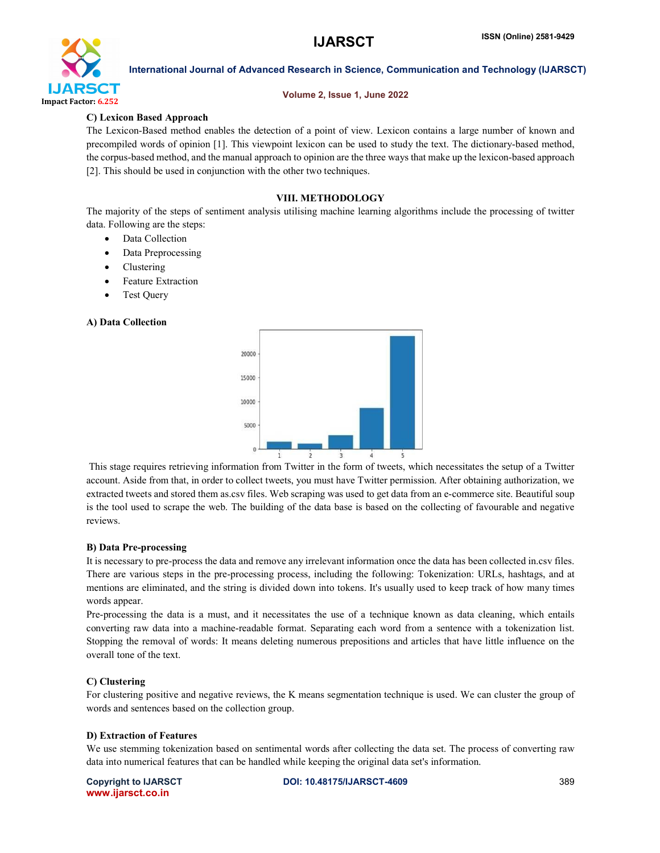

#### Volume 2, Issue 1, June 2022

### C) Lexicon Based Approach

The Lexicon-Based method enables the detection of a point of view. Lexicon contains a large number of known and precompiled words of opinion [1]. This viewpoint lexicon can be used to study the text. The dictionary-based method, the corpus-based method, and the manual approach to opinion are the three ways that make up the lexicon-based approach [2]. This should be used in conjunction with the other two techniques.

### VIII. METHODOLOGY

The majority of the steps of sentiment analysis utilising machine learning algorithms include the processing of twitter data. Following are the steps:

- Data Collection
- Data Preprocessing
- Clustering
- Feature Extraction
- Test Query

#### A) Data Collection



This stage requires retrieving information from Twitter in the form of tweets, which necessitates the setup of a Twitter account. Aside from that, in order to collect tweets, you must have Twitter permission. After obtaining authorization, we extracted tweets and stored them as.csv files. Web scraping was used to get data from an e-commerce site. Beautiful soup is the tool used to scrape the web. The building of the data base is based on the collecting of favourable and negative reviews.

#### B) Data Pre-processing

It is necessary to pre-process the data and remove any irrelevant information once the data has been collected in.csv files. There are various steps in the pre-processing process, including the following: Tokenization: URLs, hashtags, and at mentions are eliminated, and the string is divided down into tokens. It's usually used to keep track of how many times words appear.

Pre-processing the data is a must, and it necessitates the use of a technique known as data cleaning, which entails converting raw data into a machine-readable format. Separating each word from a sentence with a tokenization list. Stopping the removal of words: It means deleting numerous prepositions and articles that have little influence on the overall tone of the text.

### C) Clustering

For clustering positive and negative reviews, the K means segmentation technique is used. We can cluster the group of words and sentences based on the collection group.

#### D) Extraction of Features

We use stemming tokenization based on sentimental words after collecting the data set. The process of converting raw data into numerical features that can be handled while keeping the original data set's information.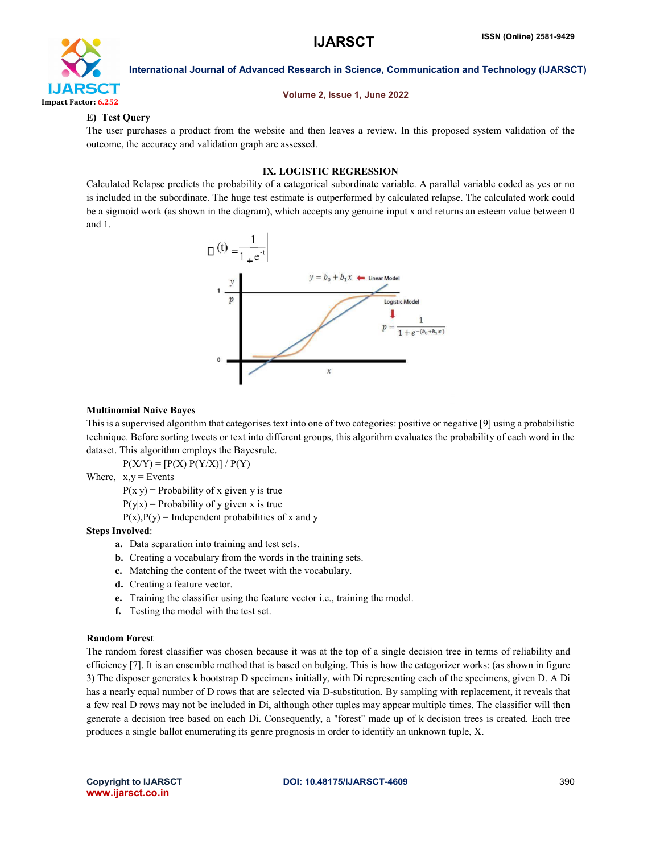

#### Volume 2, Issue 1, June 2022

#### E) Test Query

The user purchases a product from the website and then leaves a review. In this proposed system validation of the outcome, the accuracy and validation graph are assessed.

#### IX. LOGISTIC REGRESSION

Calculated Relapse predicts the probability of a categorical subordinate variable. A parallel variable coded as yes or no is included in the subordinate. The huge test estimate is outperformed by calculated relapse. The calculated work could be a sigmoid work (as shown in the diagram), which accepts any genuine input x and returns an esteem value between 0 and 1.



#### Multinomial Naive Bayes

This is a supervised algorithm that categorises text into one of two categories: positive or negative [9] using a probabilistic technique. Before sorting tweets or text into different groups, this algorithm evaluates the probability of each word in the dataset. This algorithm employs the Bayesrule.

 $P(X/Y) = [P(X) P(Y/X)] / P(Y)$ 

Where,  $x,y =$  Events

 $P(x|y)$  = Probability of x given y is true

 $P(y|x) =$ Probability of y given x is true

 $P(x)$ ,  $P(y)$  = Independent probabilities of x and y

#### Steps Involved:

- a. Data separation into training and test sets.
- b. Creating a vocabulary from the words in the training sets.
- c. Matching the content of the tweet with the vocabulary.
- d. Creating a feature vector.
- e. Training the classifier using the feature vector i.e., training the model.
- f. Testing the model with the test set.

#### Random Forest

The random forest classifier was chosen because it was at the top of a single decision tree in terms of reliability and efficiency [7]. It is an ensemble method that is based on bulging. This is how the categorizer works: (as shown in figure 3) The disposer generates k bootstrap D specimens initially, with Di representing each of the specimens, given D. A Di has a nearly equal number of D rows that are selected via D-substitution. By sampling with replacement, it reveals that a few real D rows may not be included in Di, although other tuples may appear multiple times. The classifier will then generate a decision tree based on each Di. Consequently, a "forest" made up of k decision trees is created. Each tree produces a single ballot enumerating its genre prognosis in order to identify an unknown tuple, X.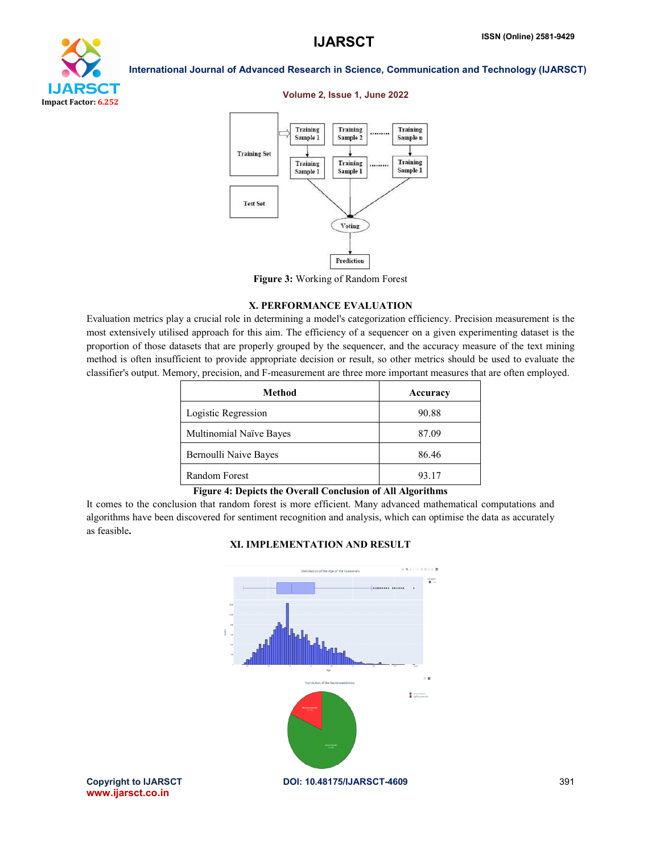

#### Volume 2, Issue 1, June 2022



Figure 3: Working of Random Forest

#### X. PERFORMANCE EVALUATION

Evaluation metrics play a crucial role in determining a model's categorization efficiency. Precision measurement is the most extensively utilised approach for this aim. The efficiency of a sequencer on a given experimenting dataset is the proportion of those datasets that are properly grouped by the sequencer, and the accuracy measure of the text mining method is often insufficient to provide appropriate decision or result, so other metrics should be used to evaluate the classifier's output. Memory, precision, and F-measurement are three more important measures that are often employed.

| Method                  | Accuracy |
|-------------------------|----------|
| Logistic Regression     | 90.88    |
| Multinomial Naïve Bayes | 87.09    |
| Bernoulli Naive Bayes   | 86.46    |
| Random Forest           | 93.17    |

#### Figure 4: Depicts the Overall Conclusion of All Algorithms

It comes to the conclusion that random forest is more efficient. Many advanced mathematical computations and algorithms have been discovered for sentiment recognition and analysis, which can optimise the data as accurately as feasible.

#### XI. IMPLEMENTATION AND RESULT

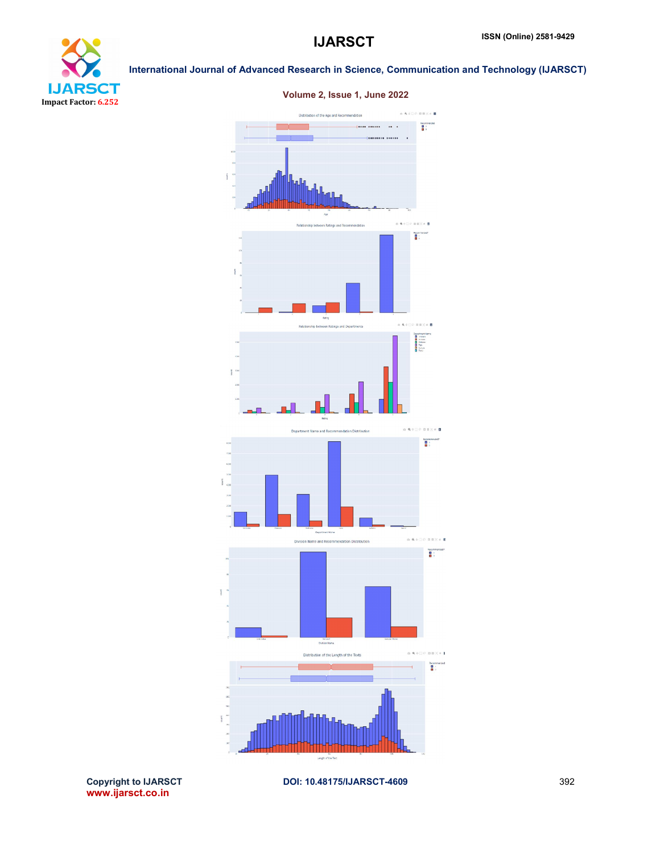



### Volume 2, Issue 1, June 2022

Copyright to IJARSCT<br>www.ijarsct.co.in

DOI: 10.48175/IJARSCT-4609 392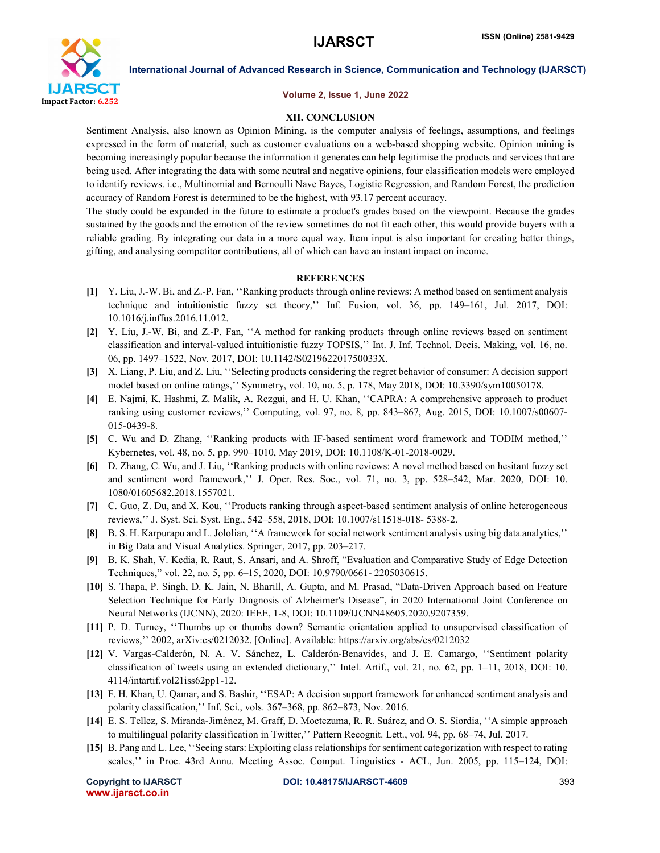

#### Volume 2, Issue 1, June 2022

#### XII. CONCLUSION

Sentiment Analysis, also known as Opinion Mining, is the computer analysis of feelings, assumptions, and feelings expressed in the form of material, such as customer evaluations on a web-based shopping website. Opinion mining is becoming increasingly popular because the information it generates can help legitimise the products and services that are being used. After integrating the data with some neutral and negative opinions, four classification models were employed to identify reviews. i.e., Multinomial and Bernoulli Nave Bayes, Logistic Regression, and Random Forest, the prediction accuracy of Random Forest is determined to be the highest, with 93.17 percent accuracy.

The study could be expanded in the future to estimate a product's grades based on the viewpoint. Because the grades sustained by the goods and the emotion of the review sometimes do not fit each other, this would provide buyers with a reliable grading. By integrating our data in a more equal way. Item input is also important for creating better things, gifting, and analysing competitor contributions, all of which can have an instant impact on income.

#### **REFERENCES**

- [1] Y. Liu, J.-W. Bi, and Z.-P. Fan, ''Ranking products through online reviews: A method based on sentiment analysis technique and intuitionistic fuzzy set theory,'' Inf. Fusion, vol. 36, pp. 149–161, Jul. 2017, DOI: 10.1016/j.inffus.2016.11.012.
- [2] Y. Liu, J.-W. Bi, and Z.-P. Fan, ''A method for ranking products through online reviews based on sentiment classification and interval-valued intuitionistic fuzzy TOPSIS,'' Int. J. Inf. Technol. Decis. Making, vol. 16, no. 06, pp. 1497–1522, Nov. 2017, DOI: 10.1142/S021962201750033X.
- [3] X. Liang, P. Liu, and Z. Liu, ''Selecting products considering the regret behavior of consumer: A decision support model based on online ratings,'' Symmetry, vol. 10, no. 5, p. 178, May 2018, DOI: 10.3390/sym10050178.
- [4] E. Najmi, K. Hashmi, Z. Malik, A. Rezgui, and H. U. Khan, ''CAPRA: A comprehensive approach to product ranking using customer reviews,'' Computing, vol. 97, no. 8, pp. 843–867, Aug. 2015, DOI: 10.1007/s00607- 015-0439-8.
- [5] C. Wu and D. Zhang, ''Ranking products with IF-based sentiment word framework and TODIM method,'' Kybernetes, vol. 48, no. 5, pp. 990–1010, May 2019, DOI: 10.1108/K-01-2018-0029.
- [6] D. Zhang, C. Wu, and J. Liu, ''Ranking products with online reviews: A novel method based on hesitant fuzzy set and sentiment word framework,'' J. Oper. Res. Soc., vol. 71, no. 3, pp. 528–542, Mar. 2020, DOI: 10. 1080/01605682.2018.1557021.
- [7] C. Guo, Z. Du, and X. Kou, ''Products ranking through aspect-based sentiment analysis of online heterogeneous reviews,'' J. Syst. Sci. Syst. Eng., 542–558, 2018, DOI: 10.1007/s11518-018- 5388-2.
- [8] B. S. H. Karpurapu and L. Jololian, ''A framework for social network sentiment analysis using big data analytics,'' in Big Data and Visual Analytics. Springer, 2017, pp. 203–217.
- [9] B. K. Shah, V. Kedia, R. Raut, S. Ansari, and A. Shroff, "Evaluation and Comparative Study of Edge Detection Techniques," vol. 22, no. 5, pp. 6–15, 2020, DOI: 10.9790/0661- 2205030615.
- [10] S. Thapa, P. Singh, D. K. Jain, N. Bharill, A. Gupta, and M. Prasad, "Data-Driven Approach based on Feature Selection Technique for Early Diagnosis of Alzheimer's Disease", in 2020 International Joint Conference on Neural Networks (IJCNN), 2020: IEEE, 1-8, DOI: 10.1109/IJCNN48605.2020.9207359.
- [11] P. D. Turney, ''Thumbs up or thumbs down? Semantic orientation applied to unsupervised classification of reviews,'' 2002, arXiv:cs/0212032. [Online]. Available: https://arxiv.org/abs/cs/0212032
- [12] V. Vargas-Calderón, N. A. V. Sánchez, L. Calderón-Benavides, and J. E. Camargo, ''Sentiment polarity classification of tweets using an extended dictionary,'' Intel. Artif., vol. 21, no. 62, pp. 1–11, 2018, DOI: 10. 4114/intartif.vol21iss62pp1-12.
- [13] F. H. Khan, U. Qamar, and S. Bashir, ''ESAP: A decision support framework for enhanced sentiment analysis and polarity classification,'' Inf. Sci., vols. 367–368, pp. 862–873, Nov. 2016.
- [14] E. S. Tellez, S. Miranda-Jiménez, M. Graff, D. Moctezuma, R. R. Suárez, and O. S. Siordia, ''A simple approach to multilingual polarity classification in Twitter,'' Pattern Recognit. Lett., vol. 94, pp. 68–74, Jul. 2017.
- [15] B. Pang and L. Lee, ''Seeing stars: Exploiting class relationships for sentiment categorization with respect to rating scales,'' in Proc. 43rd Annu. Meeting Assoc. Comput. Linguistics - ACL, Jun. 2005, pp. 115–124, DOI: